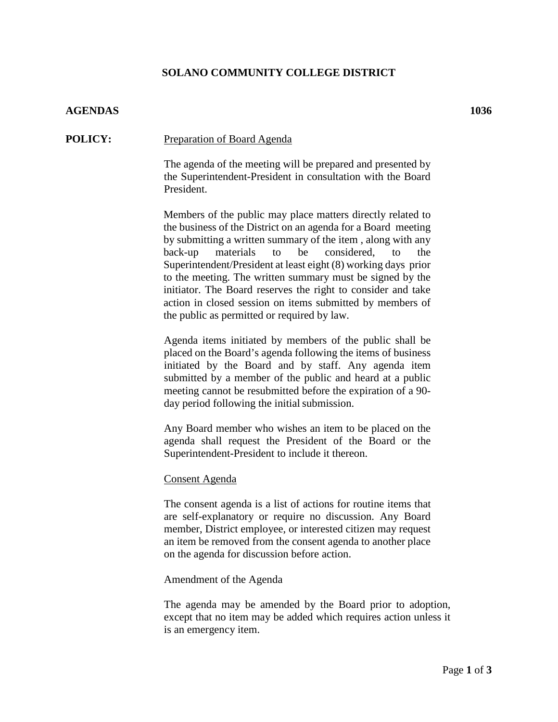# **SOLANO COMMUNITY COLLEGE DISTRICT**

## **AGENDAS 1036**

### **POLICY:** Preparation of Board Agenda

The agenda of the meeting will be prepared and presented by the Superintendent-President in consultation with the Board President.

Members of the public may place matters directly related to the business of the District on an agenda for a Board meeting by submitting a written summary of the item , along with any back-up materials to be considered, to the Superintendent/President at least eight (8) working days prior to the meeting. The written summary must be signed by the initiator. The Board reserves the right to consider and take action in closed session on items submitted by members of the public as permitted or required by law.

Agenda items initiated by members of the public shall be placed on the Board's agenda following the items of business initiated by the Board and by staff. Any agenda item submitted by a member of the public and heard at a public meeting cannot be resubmitted before the expiration of a 90 day period following the initial submission.

Any Board member who wishes an item to be placed on the agenda shall request the President of the Board or the Superintendent-President to include it thereon.

#### Consent Agenda

The consent agenda is a list of actions for routine items that are self-explanatory or require no discussion. Any Board member, District employee, or interested citizen may request an item be removed from the consent agenda to another place on the agenda for discussion before action.

#### Amendment of the Agenda

The agenda may be amended by the Board prior to adoption, except that no item may be added which requires action unless it is an emergency item.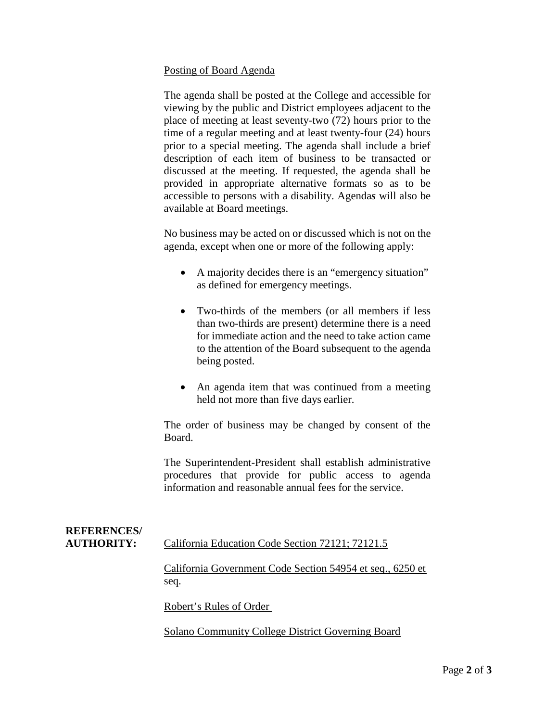### Posting of Board Agenda

The agenda shall be posted at the College and accessible for viewing by the public and District employees adjacent to the place of meeting at least seventy-two (72) hours prior to the time of a regular meeting and at least twenty-four (24) hours prior to a special meeting. The agenda shall include a brief description of each item of business to be transacted or discussed at the meeting. If requested, the agenda shall be provided in appropriate alternative formats so as to be accessible to persons with a disability. Agenda*s* will also be available at Board meetings.

No business may be acted on or discussed which is not on the agenda, except when one or more of the following apply:

- A majority decides there is an "emergency situation" as defined for emergency meetings.
- Two-thirds of the members (or all members if less than two-thirds are present) determine there is a need for immediate action and the need to take action came to the attention of the Board subsequent to the agenda being posted.
- An agenda item that was continued from a meeting held not more than five days earlier.

The order of business may be changed by consent of the Board.

The Superintendent-President shall establish administrative procedures that provide for public access to agenda information and reasonable annual fees for the service.

| <b>REFERENCES/</b><br><b>AUTHORITY:</b> | California Education Code Section 72121; 72121.5                  |
|-----------------------------------------|-------------------------------------------------------------------|
|                                         | California Government Code Section 54954 et seq., 6250 et<br>seq. |
|                                         | Robert's Rules of Order                                           |

Solano Community College District Governing Board